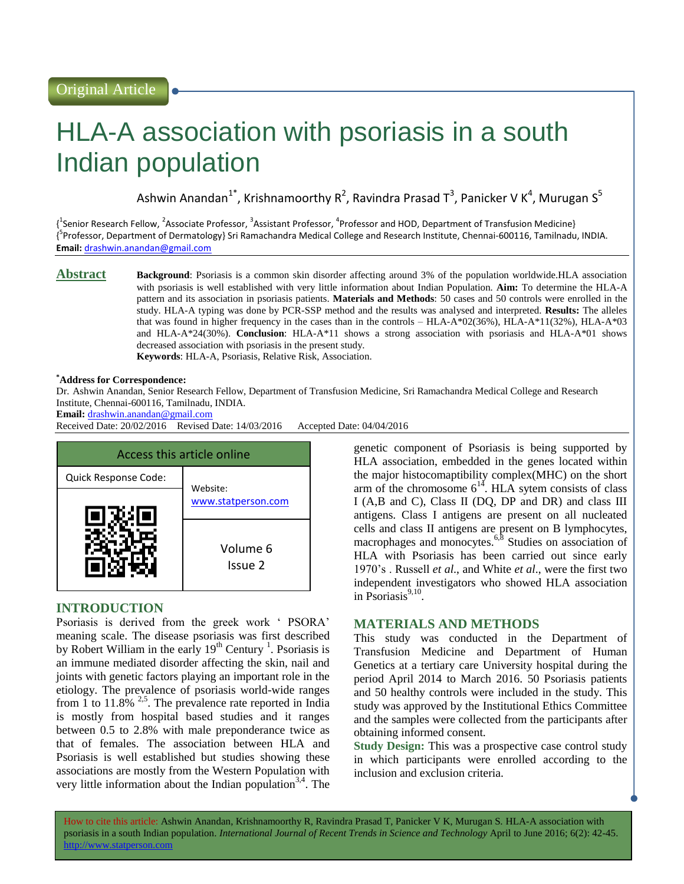# HLA-A association with psoriasis in a south Indian population

Ashwin Anandan<sup>1\*</sup>, Krishnamoorthy R<sup>2</sup>, Ravindra Prasad T<sup>3</sup>, Panicker V K<sup>4</sup>, Murugan S<sup>5</sup>

{<sup>1</sup>Senior Research Fellow, <sup>2</sup>Associate Professor, <sup>3</sup>Assistant Professor, <sup>4</sup>Professor and HOD, Department of Transfusion Medicine} {<sup>5</sup>Professor, Department of Dermatology} Sri Ramachandra Medical College and Research Institute, Chennai-600116, Tamilnadu, INDIA. **Email:** [drashwin.anandan@gmail.com](mailto:drashwin.anandan@gmail.com)

**Abstract Background**: Psoriasis is a common skin disorder affecting around 3% of the population worldwide.HLA association with psoriasis is well established with very little information about Indian Population. **Aim:** To determine the HLA-A pattern and its association in psoriasis patients. **Materials and Methods**: 50 cases and 50 controls were enrolled in the study. HLA-A typing was done by PCR-SSP method and the results was analysed and interpreted. **Results:** The alleles that was found in higher frequency in the cases than in the controls – HLA-A\*02(36%), HLA-A\*11(32%), HLA-A\*03 and HLA-A\*24(30%). **Conclusion**: HLA-A\*11 shows a strong association with psoriasis and HLA-A\*01 shows decreased association with psoriasis in the present study. **Keywords**: HLA-A, Psoriasis, Relative Risk, Association.

#### **\*Address for Correspondence:**

Dr. Ashwin Anandan, Senior Research Fellow, Department of Transfusion Medicine, Sri Ramachandra Medical College and Research Institute, Chennai-600116, Tamilnadu, INDIA.

**Email:** [drashwin.anandan@gmail.com](mailto:drashwin.anandan@gmail.com)

Received Date: 20/02/2016 Revised Date: 14/03/2016 Accepted Date: 04/04/2016



# **INTRODUCTION**

Psoriasis is derived from the greek work ' PSORA' meaning scale. The disease psoriasis was first described by Robert William in the early  $19<sup>th</sup>$  Century<sup>1</sup>. Psoriasis is an immune mediated disorder affecting the skin, nail and joints with genetic factors playing an important role in the etiology. The prevalence of psoriasis world-wide ranges from 1 to  $11.8\%$  <sup>2,5</sup>. The prevalence rate reported in India is mostly from hospital based studies and it ranges between 0.5 to 2.8% with male preponderance twice as that of females. The association between HLA and Psoriasis is well established but studies showing these associations are mostly from the Western Population with very little information about the Indian population<sup>3,4</sup>. The

genetic component of Psoriasis is being supported by HLA association, embedded in the genes located within the major histocomaptibility complex(MHC) on the short arm of the chromosome  $6^{14}$ . HLA sytem consists of class I (A,B and C), Class II (DQ, DP and DR) and class III antigens. Class I antigens are present on all nucleated cells and class II antigens are present on B lymphocytes, macrophages and monocytes.<sup>6,8</sup> Studies on association of HLA with Psoriasis has been carried out since early 1970's . Russell *et al*., and White *et al*., were the first two independent investigators who showed HLA association in Psoriasis $9,10$ .

## **MATERIALS AND METHODS**

This study was conducted in the Department of Transfusion Medicine and Department of Human Genetics at a tertiary care University hospital during the period April 2014 to March 2016. 50 Psoriasis patients and 50 healthy controls were included in the study. This study was approved by the Institutional Ethics Committee and the samples were collected from the participants after obtaining informed consent.

**Study Design:** This was a prospective case control study in which participants were enrolled according to the inclusion and exclusion criteria.

How to cite this article: Ashwin Anandan, Krishnamoorthy R, Ravindra Prasad T, Panicker V K, Murugan S*.* HLA-A association with psoriasis in a south Indian population. *International Journal of Recent Trends in Science and Technology* April to June 2016; 6(2): 42-45. http://www.statperson.com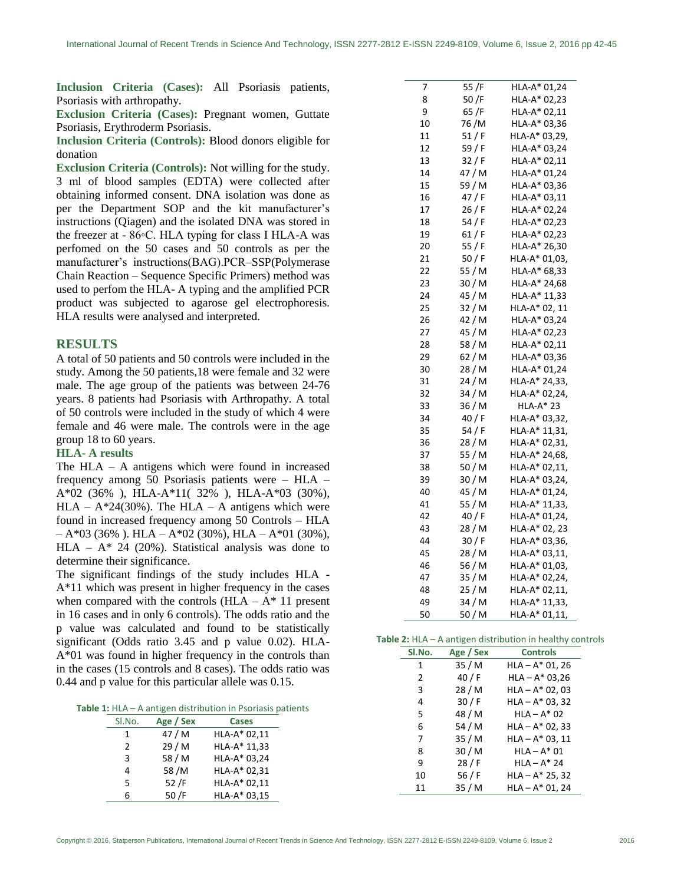**Inclusion Criteria (Cases):** All Psoriasis patients, Psoriasis with arthropathy.

**Exclusion Criteria (Cases):** Pregnant women, Guttate Psoriasis, Erythroderm Psoriasis.

**Inclusion Criteria (Controls):** Blood donors eligible for donation

**Exclusion Criteria (Controls):** Not willing for the study. 3 ml of blood samples (EDTA) were collected after obtaining informed consent. DNA isolation was done as per the Department SOP and the kit manufacturer's instructions (Qiagen) and the isolated DNA was stored in the freezer at - 86◦C. HLA typing for class I HLA-A was perfomed on the 50 cases and 50 controls as per the manufacturer's instructions(BAG).PCR–SSP(Polymerase Chain Reaction – Sequence Specific Primers) method was used to perfom the HLA- A typing and the amplified PCR product was subjected to agarose gel electrophoresis. HLA results were analysed and interpreted.

## **RESULTS**

A total of 50 patients and 50 controls were included in the study. Among the 50 patients,18 were female and 32 were male. The age group of the patients was between 24-76 years. 8 patients had Psoriasis with Arthropathy. A total of 50 controls were included in the study of which 4 were female and 46 were male. The controls were in the age group 18 to 60 years.

#### **HLA- A results**

The HLA – A antigens which were found in increased frequency among 50 Psoriasis patients were – HLA – A\*02 (36% ), HLA-A\*11( 32% ), HLA-A\*03 (30%),  $HLA - A*24(30\%)$ . The  $HLA - A$  antigens which were found in increased frequency among 50 Controls – HLA – A\*03 (36% ). HLA – A\*02 (30%), HLA – A\*01 (30%), HLA –  $A^*$  24 (20%). Statistical analysis was done to determine their significance.

The significant findings of the study includes HLA - A\*11 which was present in higher frequency in the cases when compared with the controls  $(HLA - A^* 11)$  present in 16 cases and in only 6 controls). The odds ratio and the p value was calculated and found to be statistically significant (Odds ratio 3.45 and p value 0.02). HLA-A\*01 was found in higher frequency in the controls than in the cases (15 controls and 8 cases). The odds ratio was 0.44 and p value for this particular allele was 0.15.

**Table 1:** HLA – A antigen distribution in Psoriasis patients

| Sl.No.        | Age / Sex | <b>Cases</b> |
|---------------|-----------|--------------|
| 1             | 47 / M    | HLA-A* 02,11 |
| $\mathcal{P}$ | 29/M      | HLA-A* 11,33 |
| 3             | 58 / M    | HLA-A* 03,24 |
| 4             | 58/M      | HLA-A* 02,31 |
| 5             | 52/F      | HLA-A* 02,11 |
| 6             | 50/F      | HLA-A* 03,15 |

| 7  | 55 /F  | HLA-A* 01,24     |
|----|--------|------------------|
| 8  | 50/F   | HLA-A* 02,23     |
| 9  | 65 /F  | HLA-A* 02,11     |
| 10 | 76 /M  | HLA-A* 03,36     |
| 11 | 51/F   | HLA-A* 03,29,    |
| 12 | 59 / F | HLA-A* 03,24     |
| 13 | 32 / F | HLA-A* 02,11     |
| 14 | 47 / M | HLA-A* 01,24     |
| 15 | 59 / M | HLA-A* 03,36     |
| 16 | 47 / F | HLA-A* 03,11     |
| 17 | 26/F   | HLA-A* 02,24     |
| 18 | 54 / F | HLA-A* 02,23     |
| 19 | 61 / F | HLA-A* 02,23     |
| 20 | 55 / F | HLA-A* 26,30     |
| 21 | 50/F   | HLA-A* 01,03,    |
| 22 | 55 / M | HLA-A* 68,33     |
| 23 | 30 / M | HLA-A* 24,68     |
| 24 | 45 / M | HLA-A* 11,33     |
| 25 | 32 / M | HLA-A* 02, 11    |
| 26 | 42 / M | HLA-A* 03,24     |
| 27 | 45 / M | HLA-A* 02,23     |
| 28 | 58 / M | HLA-A* 02,11     |
| 29 | 62 / M | HLA-A* 03,36     |
| 30 | 28 / M | HLA-A* 01,24     |
| 31 | 24 / M | HLA-A* 24,33,    |
| 32 | 34 / M | HLA-A* 02,24,    |
| 33 | 36 / M | <b>HLA-A* 23</b> |
| 34 | 40/F   | HLA-A* 03,32,    |
| 35 | 54/F   | HLA-A* 11,31,    |
| 36 | 28 / M | HLA-A* 02,31,    |
| 37 | 55 / M | HLA-A* 24,68,    |
| 38 | 50 / M | HLA-A* 02,11,    |
| 39 | 30 / M | HLA-A* 03,24,    |
| 40 | 45 / M | HLA-A* 01,24,    |
| 41 | 55 / M | HLA-A* 11,33,    |
| 42 | 40/ F  | HLA-A* 01,24,    |
| 43 | 28 / M | HLA-A* 02, 23    |
| 44 | 30/F   | HLA-A* 03,36,    |
| 45 | 28 / M | HLA-A* 03,11,    |
| 46 | 56 / M | HLA-A* 01,03,    |
| 47 | 35 / M | HLA-A* 02,24,    |
| 48 | 25 / M | HLA-A* 02,11,    |
| 49 | 34 / M | HLA-A* 11,33,    |
| 50 | 50 / M | HLA-A* 01,11,    |

| Table 2: $HLA - A$ antigen distribution in healthy controls |  |  |
|-------------------------------------------------------------|--|--|
|-------------------------------------------------------------|--|--|

| Sl.No. | Age / Sex | <b>Controls</b>    |
|--------|-----------|--------------------|
| 1      | 35/M      | $HLA - A^* 01, 26$ |
| 2      | 40 / F    | $HLA - A* 03,26$   |
| 3      | 28 / M    | $HLA - A* 02, 03$  |
| 4      | 30/F      | $HLA - A* 03, 32$  |
| 5      | 48 / M    | $HLA - A^* 02$     |
| 6      | 54 / M    | $HLA - A^* 02, 33$ |
| 7      | 35 / M    | $HLA - A* 03, 11$  |
| 8      | 30/M      | $HLA - A^* 01$     |
| 9      | 28/F      | $HLA - A^* 24$     |
| 10     | 56 $/F$   | $HLA - A* 25, 32$  |
| 11     | 35 / M    | $HLA - A^* 01, 24$ |
|        |           |                    |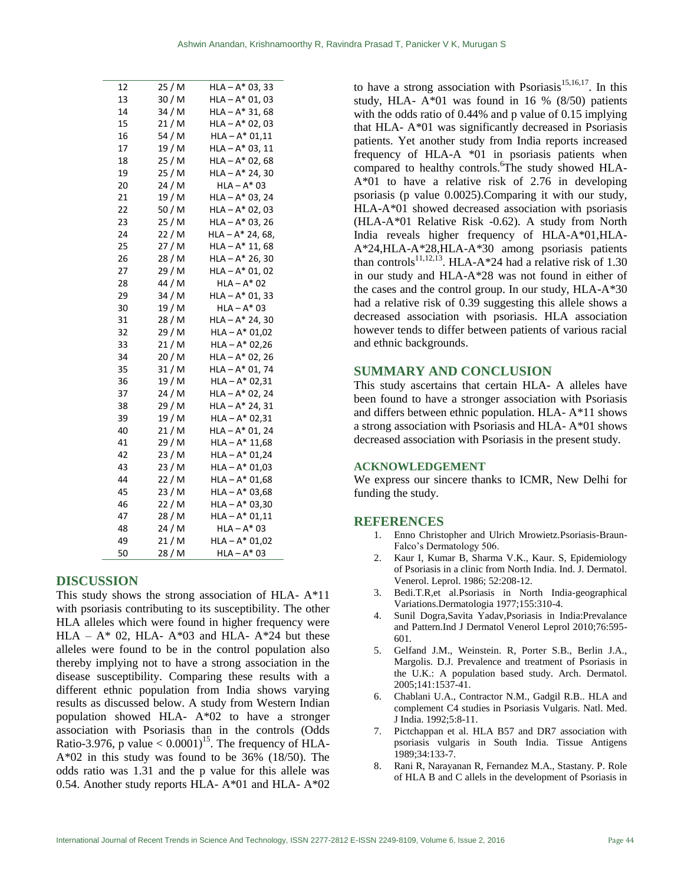| 12 | 25 / M | $HLA - A^* 03, 33$ |
|----|--------|--------------------|
| 13 | 30 / M | $HLA - A^* 01, 03$ |
| 14 | 34 / M | $HLA - A* 31, 68$  |
| 15 | 21 / M | $HLA - A^* 02, 03$ |
| 16 | 54 / M | $HLA - A* 01,11$   |
| 17 | 19 / M | $HLA - A^* 03, 11$ |
| 18 | 25 / M | $HLA - A^* 02, 68$ |
| 19 | 25 / M | $HLA - A* 24, 30$  |
| 20 | 24 / M | $HLA - A^* 03$     |
| 21 | 19 / M | $HLA - A* 03, 24$  |
| 22 | 50 / M | $HLA - A^* 02, 03$ |
| 23 | 25 / M | $HLA - A^* 03, 26$ |
| 24 | 22 / M | $HLA - A* 24, 68,$ |
| 25 | 27 / M | $HLA - A* 11, 68$  |
| 26 | 28 / M | $HLA - A* 26, 30$  |
| 27 | 29 / M | HLA – A* 01, 02    |
| 28 | 44 / M | $HLA - A^* 02$     |
| 29 | 34 / M | $HLA - A^* 01, 33$ |
| 30 | 19 / M | $HLA - A^* 03$     |
| 31 | 28 / M | $HLA - A* 24, 30$  |
| 32 | 29 / M | $HLA - A* 01,02$   |
| 33 | 21 / M | $HLA - A* 02,26$   |
| 34 | 20 / M | $HLA - A^* 02, 26$ |
| 35 | 31 / M | $HLA - A^* 01, 74$ |
| 36 | 19 / M | $HLA - A* 02,31$   |
| 37 | 24 / M | $HLA - A^* 02, 24$ |
| 38 | 29 / M | HLA – A* 24, 31    |
| 39 | 19 / M | $HLA - A* 02,31$   |
| 40 | 21/M   | HLA – A* 01, 24    |
| 41 | 29 / M | $HLA - A* 11,68$   |
| 42 | 23 / M | $HLA - A^* 01,24$  |
| 43 | 23 / M | $HLA - A* 01,03$   |
| 44 | 22/M   | $HLA - A* 01,68$   |
| 45 | 23 / M | $HLA - A* 03,68$   |
| 46 | 22 / M | $HLA - A* 03,30$   |
| 47 | 28 / M | $HLA - A^* 01,11$  |
| 48 | 24 / M | HLA – A* 03        |
| 49 | 21 / M | $HLA - A* 01,02$   |
| 50 | 28 / M | HLA – A* 03        |

## **DISCUSSION**

This study shows the strong association of HLA- A\*11 with psoriasis contributing to its susceptibility. The other HLA alleles which were found in higher frequency were HLA –  $A^*$  02, HLA-  $A^*$ 03 and HLA-  $A^*$ 24 but these alleles were found to be in the control population also thereby implying not to have a strong association in the disease susceptibility. Comparing these results with a different ethnic population from India shows varying results as discussed below. A study from Western Indian population showed HLA- A\*02 to have a stronger association with Psoriasis than in the controls (Odds Ratio-3.976, p value  $< 0.0001$ <sup>15</sup>. The frequency of HLA-A\*02 in this study was found to be 36% (18/50). The odds ratio was 1.31 and the p value for this allele was 0.54. Another study reports HLA- A\*01 and HLA- A\*02 to have a strong association with Psoriasis<sup>15,16,17</sup>. In this study, HLA-  $A*01$  was found in 16 % (8/50) patients with the odds ratio of 0.44% and p value of 0.15 implying that HLA- A\*01 was significantly decreased in Psoriasis patients. Yet another study from India reports increased frequency of HLA-A \*01 in psoriasis patients when compared to healthy controls. The study showed HLA-A\*01 to have a relative risk of 2.76 in developing psoriasis (p value 0.0025).Comparing it with our study, HLA-A\*01 showed decreased association with psoriasis (HLA-A\*01 Relative Risk -0.62). A study from North India reveals higher frequency of HLA-A\*01,HLA-A\*24,HLA-A\*28,HLA-A\*30 among psoriasis patients than controls<sup>11,12,13</sup>. HLA-A\*24 had a relative risk of 1.30 in our study and HLA-A\*28 was not found in either of the cases and the control group. In our study, HLA-A\*30 had a relative risk of 0.39 suggesting this allele shows a decreased association with psoriasis. HLA association however tends to differ between patients of various racial and ethnic backgrounds.

# **SUMMARY AND CONCLUSION**

This study ascertains that certain HLA- A alleles have been found to have a stronger association with Psoriasis and differs between ethnic population. HLA- A\*11 shows a strong association with Psoriasis and HLA- A\*01 shows decreased association with Psoriasis in the present study.

# **ACKNOWLEDGEMENT**

We express our sincere thanks to ICMR, New Delhi for funding the study.

## **REFERENCES**

- 1. Enno Christopher and Ulrich Mrowietz.Psoriasis-Braun-Falco's Dermatology 506.
- 2. Kaur I, Kumar B, Sharma V.K., Kaur. S, Epidemiology of Psoriasis in a clinic from North India. Ind. J. Dermatol. Venerol. Leprol. 1986; 52:208-12.
- 3. Bedi.T.R,et al.Psoriasis in North India-geographical Variations.Dermatologia 1977;155:310-4.
- 4. Sunil Dogra,Savita Yadav,Psoriasis in India:Prevalance and Pattern.Ind J Dermatol Venerol Leprol 2010;76:595- 601.
- 5. Gelfand J.M., Weinstein. R, Porter S.B., Berlin J.A., Margolis. D.J. Prevalence and treatment of Psoriasis in the U.K.: A population based study. Arch. Dermatol. 2005;141:1537-41.
- 6. Chablani U.A., Contractor N.M., Gadgil R.B.. HLA and complement C4 studies in Psoriasis Vulgaris. Natl. Med. J India. 1992;5:8-11.
- 7. Pictchappan et al. HLA B57 and DR7 association with psoriasis vulgaris in South India. Tissue Antigens 1989;34:133-7.
- 8. Rani R, Narayanan R, Fernandez M.A., Stastany. P. Role of HLA B and C allels in the development of Psoriasis in